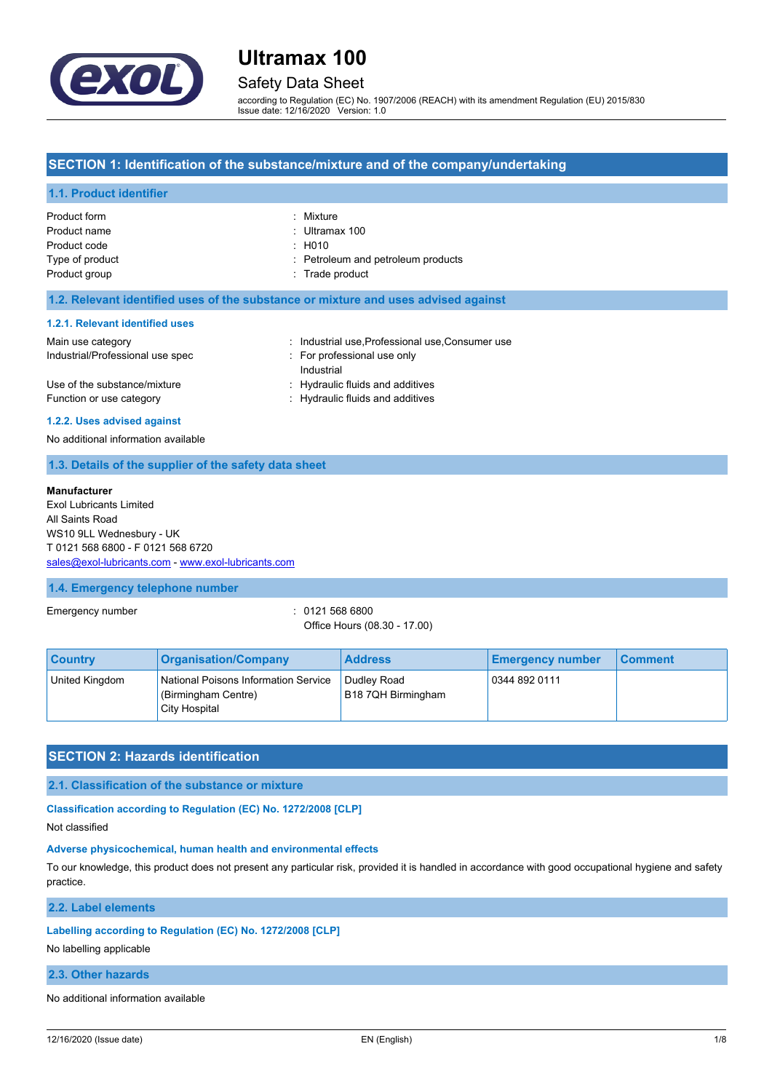

# Safety Data Sheet

according to Regulation (EC) No. 1907/2006 (REACH) with its amendment Regulation (EU) 2015/830 Issue date: 12/16/2020 Version: 1.0

## **SECTION 1: Identification of the substance/mixture and of the company/undertaking**

### **1.1. Product identifier**

| Product form    | : Mixture                          |
|-----------------|------------------------------------|
| Product name    | : Ultramax 100                     |
| Product code    | $\pm$ H010                         |
| Type of product | : Petroleum and petroleum products |
| Product group   | : Trade product                    |
|                 |                                    |

#### **1.2. Relevant identified uses of the substance or mixture and uses advised against**

#### **1.2.1. Relevant identified uses**

| Main use category                | : Industrial use Professional use Consumer use |
|----------------------------------|------------------------------------------------|
| Industrial/Professional use spec | For professional use only                      |
|                                  | Industrial                                     |
| Use of the substance/mixture     | : Hydraulic fluids and additives               |
| Function or use category         | : Hydraulic fluids and additives               |

#### **1.2.2. Uses advised against**

No additional information available

### **1.3. Details of the supplier of the safety data sheet**

#### **Manufacturer**

Exol Lubricants Limited All Saints Road WS10 9LL Wednesbury - UK T 0121 568 6800 - F 0121 568 6720 [sales@exol-lubricants.com](mailto:sales@exol-lubricants.com) - <www.exol-lubricants.com>

#### **1.4. Emergency telephone number**

Emergency number : 0121 568 6800

Office Hours (08.30 - 17.00)

| <b>Country</b> | <b>Organisation/Company</b>                                                  | <b>Address</b>                    | <b>Emergency number</b> | <b>Comment</b> |
|----------------|------------------------------------------------------------------------------|-----------------------------------|-------------------------|----------------|
| United Kingdom | National Poisons Information Service<br>(Birmingham Centre)<br>City Hospital | Dudley Road<br>B18 7QH Birmingham | 0344 892 0111           |                |

## **SECTION 2: Hazards identification**

**2.1. Classification of the substance or mixture**

**Classification according to Regulation (EC) No. 1272/2008 [CLP]**

Not classified

#### **Adverse physicochemical, human health and environmental effects**

To our knowledge, this product does not present any particular risk, provided it is handled in accordance with good occupational hygiene and safety practice.

**2.2. Label elements**

#### **Labelling according to Regulation (EC) No. 1272/2008 [CLP]**

No labelling applicable

### **2.3. Other hazards**

No additional information available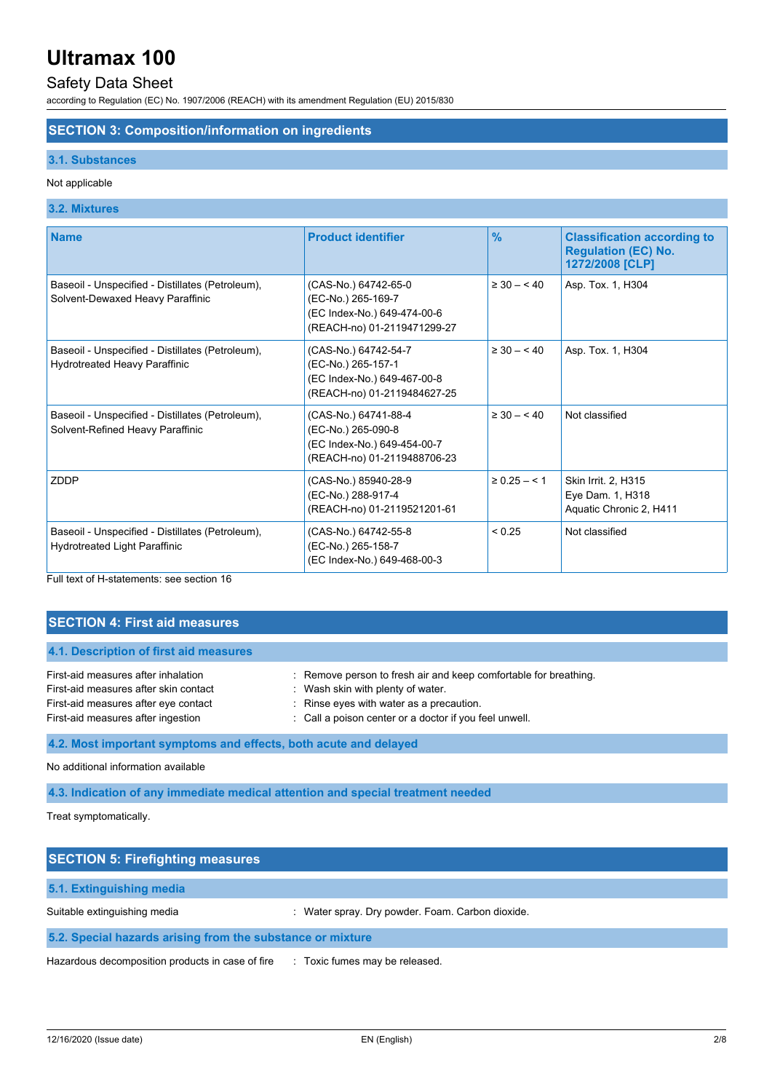# Safety Data Sheet

according to Regulation (EC) No. 1907/2006 (REACH) with its amendment Regulation (EU) 2015/830

# **SECTION 3: Composition/information on ingredients**

## **3.1. Substances**

### Not applicable

# **3.2. Mixtures**

| <b>Name</b>                                                                              | <b>Product identifier</b>                                                                                | $\frac{9}{6}$     | <b>Classification according to</b><br><b>Regulation (EC) No.</b><br>1272/2008 [CLP] |
|------------------------------------------------------------------------------------------|----------------------------------------------------------------------------------------------------------|-------------------|-------------------------------------------------------------------------------------|
| Baseoil - Unspecified - Distillates (Petroleum),<br>Solvent-Dewaxed Heavy Paraffinic     | (CAS-No.) 64742-65-0<br>(EC-No.) 265-169-7<br>(EC Index-No.) 649-474-00-6<br>(REACH-no) 01-2119471299-27 | $\geq 30 - 40$    | Asp. Tox. 1, H304                                                                   |
| Baseoil - Unspecified - Distillates (Petroleum),<br>Hydrotreated Heavy Paraffinic        | (CAS-No.) 64742-54-7<br>(EC-No.) 265-157-1<br>(EC Index-No.) 649-467-00-8<br>(REACH-no) 01-2119484627-25 | $\geq 30 - 40$    | Asp. Tox. 1, H304                                                                   |
| Baseoil - Unspecified - Distillates (Petroleum),<br>Solvent-Refined Heavy Paraffinic     | (CAS-No.) 64741-88-4<br>(EC-No.) 265-090-8<br>(EC Index-No.) 649-454-00-7<br>(REACH-no) 01-2119488706-23 | $\geq 30 - 40$    | Not classified                                                                      |
| ZDDP                                                                                     | (CAS-No.) 85940-28-9<br>(EC-No.) 288-917-4<br>(REACH-no) 01-2119521201-61                                | $\geq 0.25 - 5.1$ | Skin Irrit. 2, H315<br>Eye Dam. 1, H318<br>Aquatic Chronic 2, H411                  |
| Baseoil - Unspecified - Distillates (Petroleum),<br><b>Hydrotreated Light Paraffinic</b> | (CAS-No.) 64742-55-8<br>(EC-No.) 265-158-7<br>(EC Index-No.) 649-468-00-3                                | < 0.25            | Not classified                                                                      |

Full text of H-statements: see section 16

| <b>SECTION 4: First aid measures</b>                                                                                                                       |                                                                                                                                                                                                             |  |
|------------------------------------------------------------------------------------------------------------------------------------------------------------|-------------------------------------------------------------------------------------------------------------------------------------------------------------------------------------------------------------|--|
| 4.1. Description of first aid measures                                                                                                                     |                                                                                                                                                                                                             |  |
| First-aid measures after inhalation<br>First-aid measures after skin contact<br>First-aid measures after eye contact<br>First-aid measures after ingestion | : Remove person to fresh air and keep comfortable for breathing.<br>: Wash skin with plenty of water.<br>: Rinse eyes with water as a precaution.<br>: Call a poison center or a doctor if you feel unwell. |  |
| 4.2. Most important symptoms and effects, both acute and delayed                                                                                           |                                                                                                                                                                                                             |  |
| No additional information available                                                                                                                        |                                                                                                                                                                                                             |  |
| 4.3. Indication of any immediate medical attention and special treatment needed                                                                            |                                                                                                                                                                                                             |  |

Treat symptomatically.

| <b>SECTION 5: Firefighting measures</b>                    |                                                  |
|------------------------------------------------------------|--------------------------------------------------|
| 5.1. Extinguishing media                                   |                                                  |
| Suitable extinguishing media                               | : Water spray. Dry powder. Foam. Carbon dioxide. |
| 5.2. Special hazards arising from the substance or mixture |                                                  |
| Hazardous decomposition products in case of fire           | : Toxic fumes may be released.                   |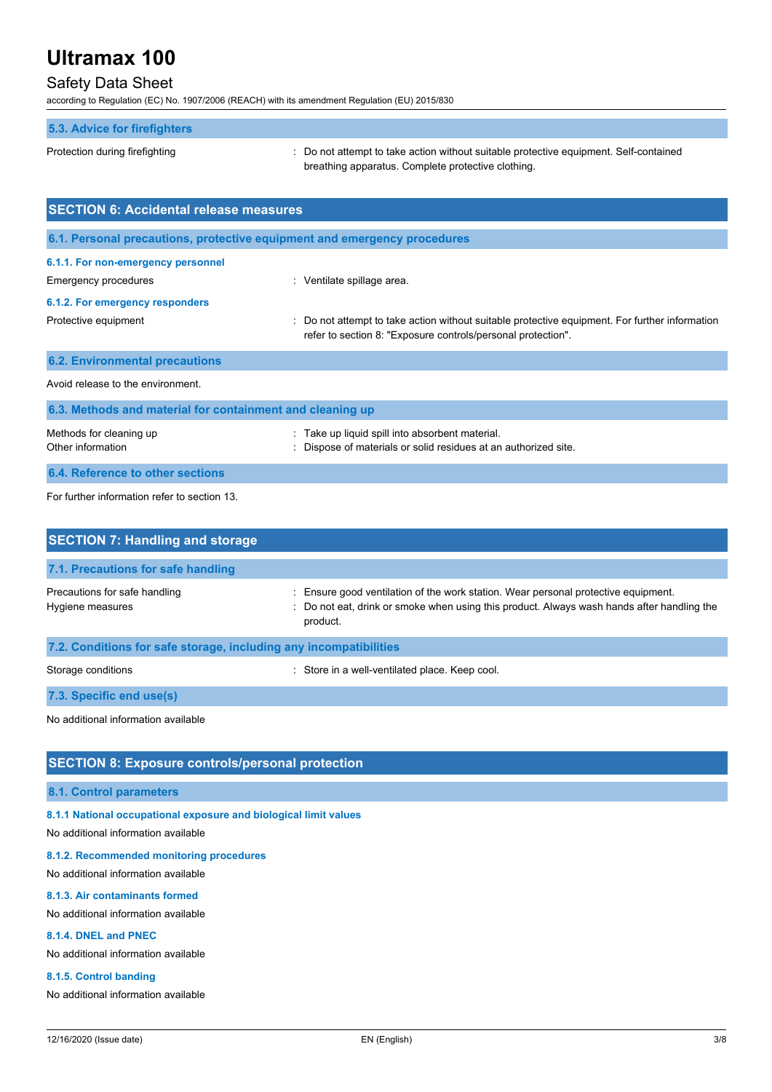# Safety Data Sheet

according to Regulation (EC) No. 1907/2006 (REACH) with its amendment Regulation (EU) 2015/830

## **5.3. Advice for firefighters**

Protection during firefighting  $\blacksquare$ : Do not attempt to take action without suitable protective equipment. Self-contained breathing apparatus. Complete protective clothing.

| <b>SECTION 6: Accidental release measures</b>                                                 |                                                                                                                                                              |  |
|-----------------------------------------------------------------------------------------------|--------------------------------------------------------------------------------------------------------------------------------------------------------------|--|
| 6.1. Personal precautions, protective equipment and emergency procedures                      |                                                                                                                                                              |  |
| 6.1.1. For non-emergency personnel<br>Emergency procedures<br>6.1.2. For emergency responders | : Ventilate spillage area.                                                                                                                                   |  |
| Protective equipment                                                                          | Do not attempt to take action without suitable protective equipment. For further information<br>refer to section 8: "Exposure controls/personal protection". |  |
| <b>6.2. Environmental precautions</b>                                                         |                                                                                                                                                              |  |
| Avoid release to the environment.                                                             |                                                                                                                                                              |  |
| 6.3. Methods and material for containment and cleaning up                                     |                                                                                                                                                              |  |
| Methods for cleaning up<br>Other information                                                  | : Take up liquid spill into absorbent material.<br>Dispose of materials or solid residues at an authorized site.                                             |  |
| 6.4. Reference to other sections                                                              |                                                                                                                                                              |  |

For further information refer to section 13.

| <b>SECTION 7: Handling and storage</b>                            |                                                                                                                                                                                              |  |  |
|-------------------------------------------------------------------|----------------------------------------------------------------------------------------------------------------------------------------------------------------------------------------------|--|--|
| 7.1. Precautions for safe handling                                |                                                                                                                                                                                              |  |  |
| Precautions for safe handling<br>Hygiene measures                 | : Ensure good ventilation of the work station. Wear personal protective equipment.<br>: Do not eat, drink or smoke when using this product. Always wash hands after handling the<br>product. |  |  |
| 7.2. Conditions for safe storage, including any incompatibilities |                                                                                                                                                                                              |  |  |
| Storage conditions                                                | : Store in a well-ventilated place. Keep cool.                                                                                                                                               |  |  |
| 7.3. Specific end use(s)                                          |                                                                                                                                                                                              |  |  |
| No additional information available                               |                                                                                                                                                                                              |  |  |

# **SECTION 8: Exposure controls/personal protection**

## **8.1. Control parameters**

**8.1.1 National occupational exposure and biological limit values**

No additional information available

#### **8.1.2. Recommended monitoring procedures**

No additional information available

#### **8.1.3. Air contaminants formed**

No additional information available

#### **8.1.4. DNEL and PNEC**

No additional information available

#### **8.1.5. Control banding**

No additional information available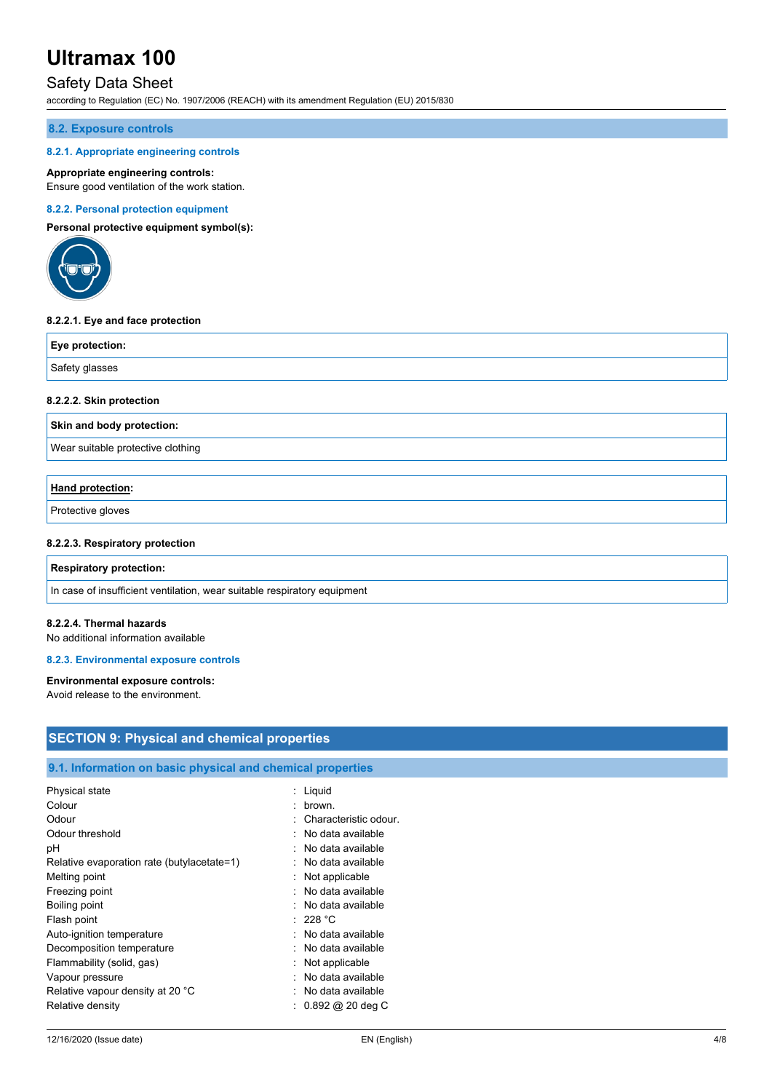# Safety Data Sheet

according to Regulation (EC) No. 1907/2006 (REACH) with its amendment Regulation (EU) 2015/830

### **8.2. Exposure controls**

#### **8.2.1. Appropriate engineering controls**

#### **Appropriate engineering controls:**

Ensure good ventilation of the work station.

#### **8.2.2. Personal protection equipment**

**Personal protective equipment symbol(s):**



### **8.2.2.1. Eye and face protection**

| Eye protection: |  |
|-----------------|--|
| Safety glasses  |  |

#### **8.2.2.2. Skin protection**

**Skin and body protection:**

Wear suitable protective clothing

## **Hand protection:**

Protective gloves

#### **8.2.2.3. Respiratory protection**

#### **Respiratory protection:**

In case of insufficient ventilation, wear suitable respiratory equipment

#### **8.2.2.4. Thermal hazards**

No additional information available

#### **8.2.3. Environmental exposure controls**

#### **Environmental exposure controls:**

Avoid release to the environment.

| <b>SECTION 9: Physical and chemical properties</b>         |                             |  |  |
|------------------------------------------------------------|-----------------------------|--|--|
|                                                            |                             |  |  |
| 9.1. Information on basic physical and chemical properties |                             |  |  |
| Physical state                                             | : Liquid                    |  |  |
| Colour                                                     | brown.<br>٠                 |  |  |
| Odour                                                      | Characteristic odour.       |  |  |
| Odour threshold                                            | No data available           |  |  |
| рH                                                         | No data available           |  |  |
| Relative evaporation rate (butylacetate=1)                 | No data available           |  |  |
| Melting point                                              | Not applicable              |  |  |
| Freezing point                                             | No data available<br>٠      |  |  |
| Boiling point                                              | No data available           |  |  |
| Flash point                                                | : 228 °C                    |  |  |
| Auto-ignition temperature                                  | No data available           |  |  |
| Decomposition temperature                                  | No data available           |  |  |
| Flammability (solid, gas)                                  | Not applicable              |  |  |
| Vapour pressure                                            | No data available           |  |  |
| Relative vapour density at 20 °C                           | No data available           |  |  |
| Relative density                                           | $0.892 \text{ @ } 20$ deg C |  |  |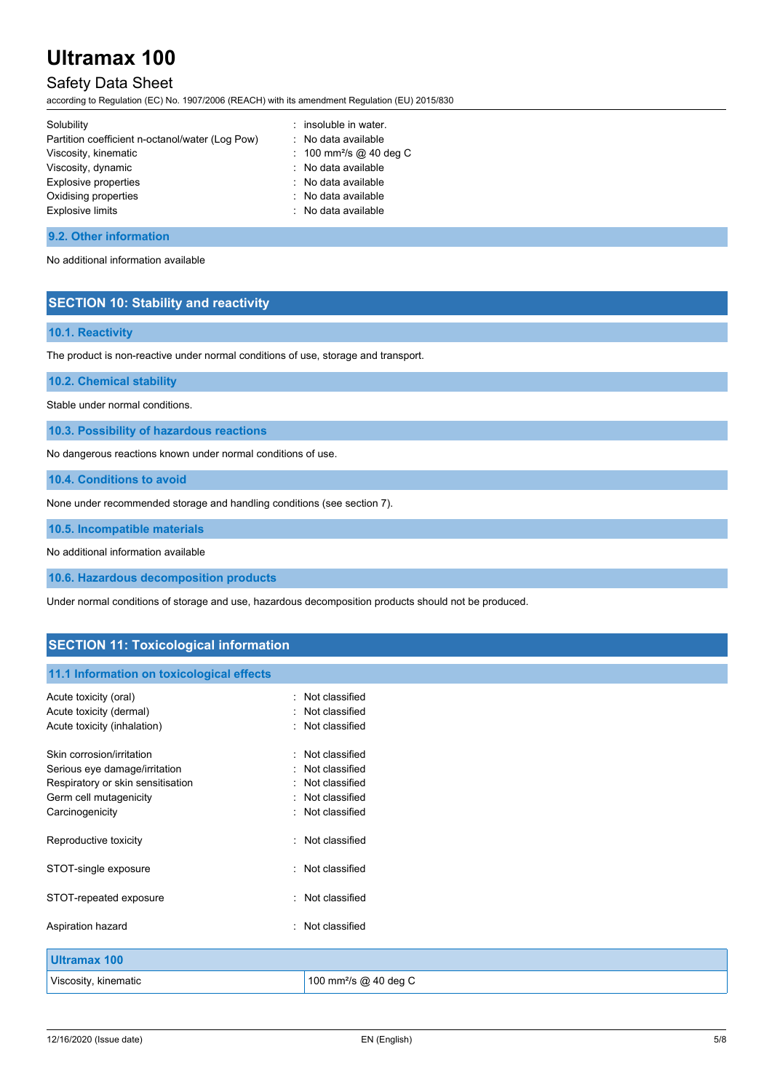# Safety Data Sheet

according to Regulation (EC) No. 1907/2006 (REACH) with its amendment Regulation (EU) 2015/830

| Solubility                                      | : insoluble in water.               |
|-------------------------------------------------|-------------------------------------|
| Partition coefficient n-octanol/water (Log Pow) | : No data available                 |
| Viscosity, kinematic                            | : 100 mm <sup>2</sup> /s @ 40 deg C |
| Viscosity, dynamic                              | : No data available                 |
| Explosive properties                            | : No data available                 |
| Oxidising properties                            | : No data available                 |
| <b>Explosive limits</b>                         | : No data available                 |
|                                                 |                                     |

#### **9.2. Other information**

No additional information available

## **SECTION 10: Stability and reactivity**

## **10.1. Reactivity**

The product is non-reactive under normal conditions of use, storage and transport.

**10.2. Chemical stability**

Stable under normal conditions.

**10.3. Possibility of hazardous reactions**

No dangerous reactions known under normal conditions of use.

**10.4. Conditions to avoid**

None under recommended storage and handling conditions (see section 7).

**10.5. Incompatible materials**

No additional information available

**10.6. Hazardous decomposition products**

Under normal conditions of storage and use, hazardous decomposition products should not be produced.

## **SECTION 11: Toxicological information**

### **11.1 Information on toxicological effects**

| Acute toxicity (oral)             | Not classified                    |
|-----------------------------------|-----------------------------------|
| Acute toxicity (dermal)           | Not classified                    |
| Acute toxicity (inhalation)       | Not classified                    |
|                                   |                                   |
| Skin corrosion/irritation         | Not classified                    |
| Serious eye damage/irritation     | Not classified                    |
| Respiratory or skin sensitisation | Not classified                    |
| Germ cell mutagenicity            | Not classified                    |
| Carcinogenicity                   | : Not classified                  |
|                                   |                                   |
| Reproductive toxicity             | Not classified                    |
|                                   |                                   |
| STOT-single exposure              | : Not classified                  |
|                                   | Not classified                    |
| STOT-repeated exposure            |                                   |
| Aspiration hazard                 | : Not classified                  |
|                                   |                                   |
| <b>Ultramax 100</b>               |                                   |
|                                   |                                   |
| Viscosity, kinematic              | 100 mm <sup>2</sup> /s @ 40 deg C |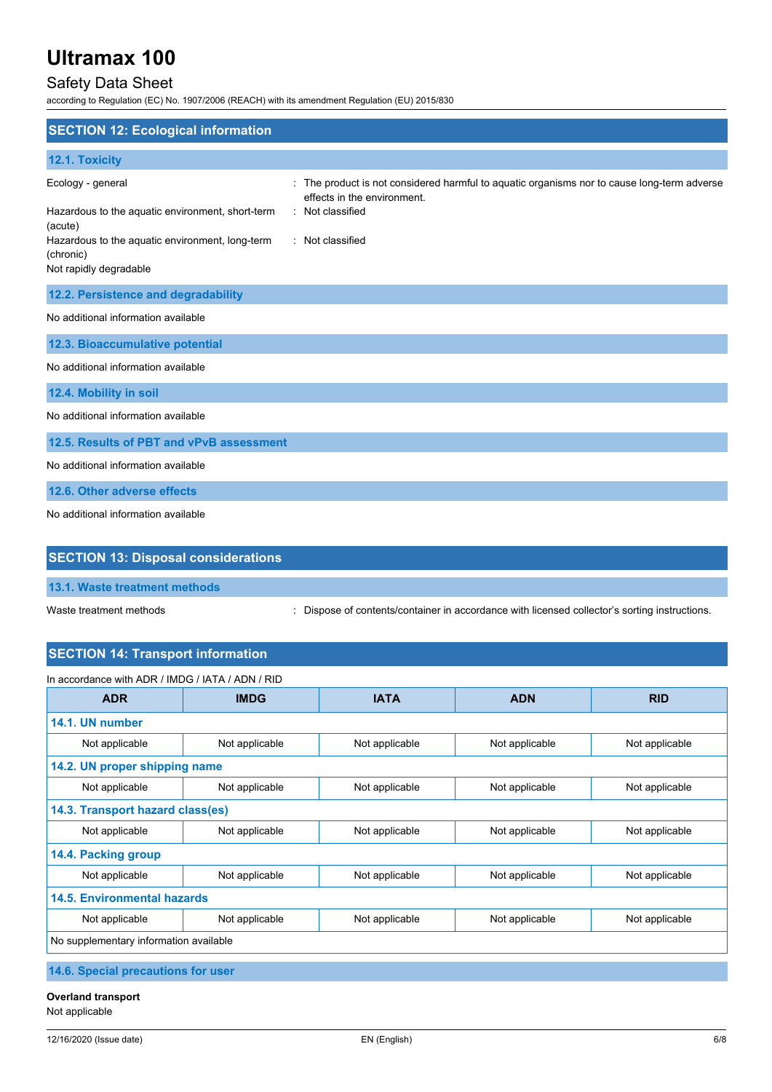# Safety Data Sheet

according to Regulation (EC) No. 1907/2006 (REACH) with its amendment Regulation (EU) 2015/830

| <b>SECTION 12: Ecological information</b>                                                                                                                                  |                                                                                                                                                                  |
|----------------------------------------------------------------------------------------------------------------------------------------------------------------------------|------------------------------------------------------------------------------------------------------------------------------------------------------------------|
| 12.1. Toxicity                                                                                                                                                             |                                                                                                                                                                  |
| Ecology - general<br>Hazardous to the aquatic environment, short-term<br>(acute)<br>Hazardous to the aquatic environment, long-term<br>(chronic)<br>Not rapidly degradable | The product is not considered harmful to aquatic organisms nor to cause long-term adverse<br>effects in the environment.<br>: Not classified<br>: Not classified |
| 12.2. Persistence and degradability                                                                                                                                        |                                                                                                                                                                  |
| No additional information available                                                                                                                                        |                                                                                                                                                                  |
| 12.3. Bioaccumulative potential                                                                                                                                            |                                                                                                                                                                  |
| No additional information available                                                                                                                                        |                                                                                                                                                                  |
| 12.4. Mobility in soil                                                                                                                                                     |                                                                                                                                                                  |
| No additional information available                                                                                                                                        |                                                                                                                                                                  |
| 12.5. Results of PBT and vPvB assessment                                                                                                                                   |                                                                                                                                                                  |
| No additional information available                                                                                                                                        |                                                                                                                                                                  |
| 12.6. Other adverse effects                                                                                                                                                |                                                                                                                                                                  |
| No additional information available                                                                                                                                        |                                                                                                                                                                  |
| <b>SECTION 13: Disposal considerations</b>                                                                                                                                 |                                                                                                                                                                  |

Waste treatment methods : Dispose of contents/container in accordance with licensed collector's sorting instructions.

# **SECTION 14: Transport information**

| In accordance with ADR / IMDG / IATA / ADN / RID |                |                |                |                |
|--------------------------------------------------|----------------|----------------|----------------|----------------|
| <b>ADR</b>                                       | <b>IMDG</b>    | <b>IATA</b>    | <b>ADN</b>     | <b>RID</b>     |
| 14.1. UN number                                  |                |                |                |                |
| Not applicable                                   | Not applicable | Not applicable | Not applicable | Not applicable |
| 14.2. UN proper shipping name                    |                |                |                |                |
| Not applicable                                   | Not applicable | Not applicable | Not applicable | Not applicable |
| 14.3. Transport hazard class(es)                 |                |                |                |                |
| Not applicable                                   | Not applicable | Not applicable | Not applicable | Not applicable |
| 14.4. Packing group                              |                |                |                |                |
| Not applicable                                   | Not applicable | Not applicable | Not applicable | Not applicable |
| <b>14.5. Environmental hazards</b>               |                |                |                |                |
| Not applicable                                   | Not applicable | Not applicable | Not applicable | Not applicable |
| No supplementary information available           |                |                |                |                |
| A A A Andreal concernations from the co-         |                |                |                |                |

**14.6. Special precautions for user**

**Overland transport**

Not applicable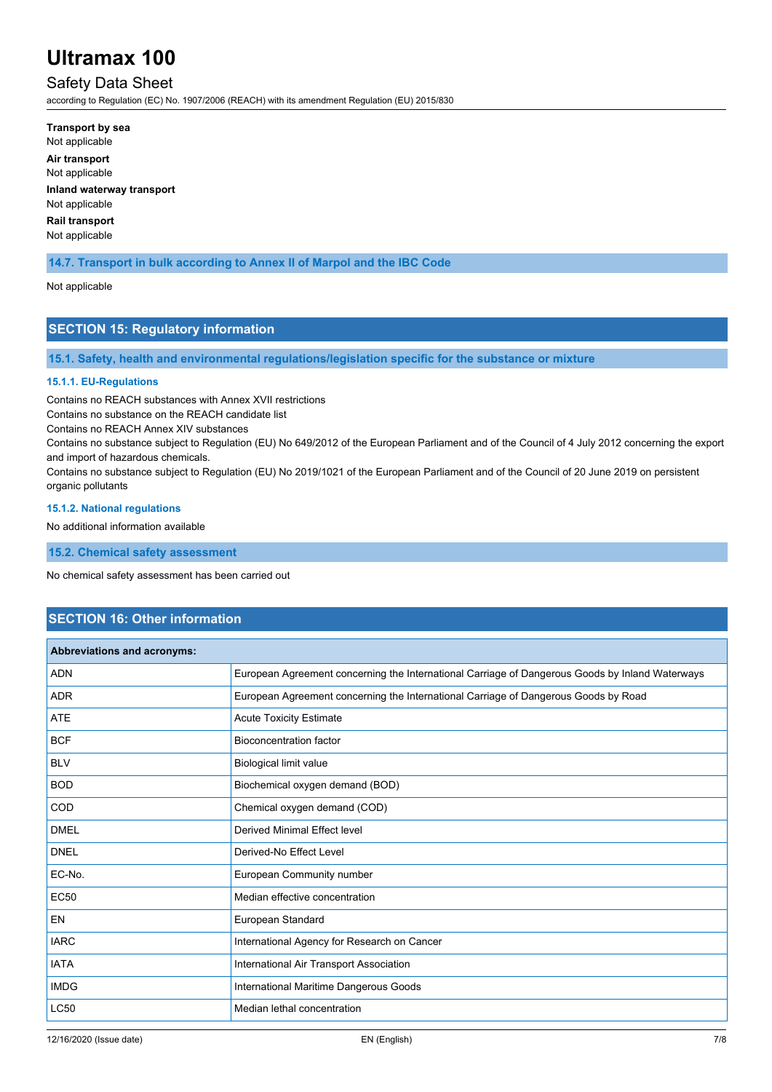# Safety Data Sheet

according to Regulation (EC) No. 1907/2006 (REACH) with its amendment Regulation (EU) 2015/830

**Transport by sea** Not applicable **Air transport** Not applicable **Inland waterway transport** Not applicable **Rail transport** Not applicable

## **14.7. Transport in bulk according to Annex II of Marpol and the IBC Code**

#### Not applicable

## **SECTION 15: Regulatory information**

**15.1. Safety, health and environmental regulations/legislation specific for the substance or mixture**

#### **15.1.1. EU-Regulations**

Contains no REACH substances with Annex XVII restrictions

Contains no substance on the REACH candidate list

Contains no REACH Annex XIV substances

Contains no substance subject to Regulation (EU) No 649/2012 of the European Parliament and of the Council of 4 July 2012 concerning the export and import of hazardous chemicals.

Contains no substance subject to Regulation (EU) No 2019/1021 of the European Parliament and of the Council of 20 June 2019 on persistent organic pollutants

#### **15.1.2. National regulations**

No additional information available

**15.2. Chemical safety assessment**

No chemical safety assessment has been carried out

# **SECTION 16: Other information**

| Abbreviations and acronyms: |                                                                                                 |  |
|-----------------------------|-------------------------------------------------------------------------------------------------|--|
| <b>ADN</b>                  | European Agreement concerning the International Carriage of Dangerous Goods by Inland Waterways |  |
| <b>ADR</b>                  | European Agreement concerning the International Carriage of Dangerous Goods by Road             |  |
| <b>ATE</b>                  | <b>Acute Toxicity Estimate</b>                                                                  |  |
| <b>BCF</b>                  | <b>Bioconcentration factor</b>                                                                  |  |
| <b>BLV</b>                  | Biological limit value                                                                          |  |
| <b>BOD</b>                  | Biochemical oxygen demand (BOD)                                                                 |  |
| COD                         | Chemical oxygen demand (COD)                                                                    |  |
| <b>DMEL</b>                 | <b>Derived Minimal Effect level</b>                                                             |  |
| <b>DNEL</b>                 | Derived-No Effect Level                                                                         |  |
| EC-No.                      | European Community number                                                                       |  |
| <b>EC50</b>                 | Median effective concentration                                                                  |  |
| <b>EN</b>                   | European Standard                                                                               |  |
| <b>IARC</b>                 | International Agency for Research on Cancer                                                     |  |
| <b>IATA</b>                 | International Air Transport Association                                                         |  |
| <b>IMDG</b>                 | International Maritime Dangerous Goods                                                          |  |
| LC50                        | Median lethal concentration                                                                     |  |